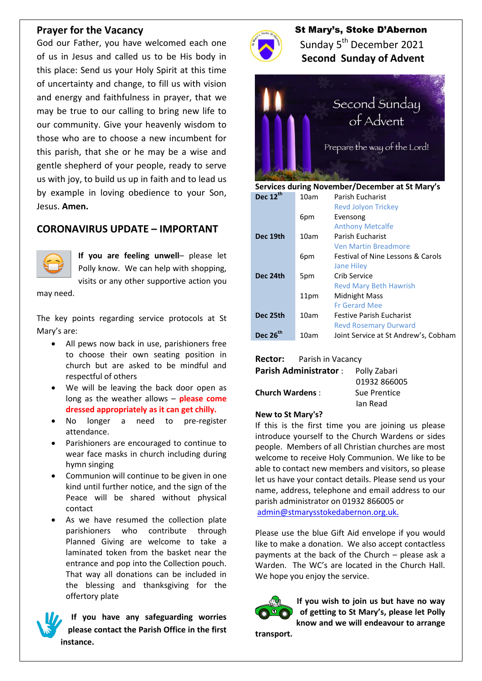#### **Prayer for the Vacancy**

God our Father, you have welcomed each one of us in Jesus and called us to be His body in this place: Send us your Holy Spirit at this time of uncertainty and change, to fill us with vision and energy and faithfulness in prayer, that we may be true to our calling to bring new life to our community. Give your heavenly wisdom to those who are to choose a new incumbent for this parish, that she or he may be a wise and gentle shepherd of your people, ready to serve us with joy, to build us up in faith and to lead us by example in loving obedience to your Son, Jesus. **Amen.**

# **CORONAVIRUS UPDATE – IMPORTANT**



**If you are feeling unwell**– please let Polly know. We can help with shopping, visits or any other supportive action you

may need.

The key points regarding service protocols at St Mary's are:

- All pews now back in use, parishioners free to choose their own seating position in church but are asked to be mindful and respectful of others
- We will be leaving the back door open as long as the weather allows – **please come dressed appropriately as it can get chilly.**
- No longer a need to pre-register attendance.
- Parishioners are encouraged to continue to wear face masks in church including during hymn singing
- Communion will continue to be given in one kind until further notice, and the sign of the Peace will be shared without physical contact
- As we have resumed the collection plate parishioners who contribute through Planned Giving are welcome to take a laminated token from the basket near the entrance and pop into the Collection pouch. That way all donations can be included in the blessing and thanksgiving for the offertory plate

**If you have any safeguarding worries please contact the Parish Office in the first instance.**



 St Mary's, Stoke D'Abernon Sunday 5<sup>th</sup> December 2021  **Second Sunday of Advent**



**Services during November/December at St Mary's**

| Dec 12 <sup>th</sup> | 10am | Parish Eucharist                     |
|----------------------|------|--------------------------------------|
|                      |      | <b>Revd Jolyon Trickey</b>           |
|                      | 6pm  | Evensong                             |
|                      |      | <b>Anthony Metcalfe</b>              |
| Dec 19th             | 10am | Parish Eucharist                     |
|                      |      | <b>Ven Martin Breadmore</b>          |
|                      | 6pm  | Festival of Nine Lessons & Carols    |
|                      |      | <b>Jane Hiley</b>                    |
| Dec 24th             | 5pm  | Crib Service                         |
|                      |      | <b>Revd Mary Beth Hawrish</b>        |
|                      | 11pm | <b>Midnight Mass</b>                 |
|                      |      | <b>Fr Gerard Mee</b>                 |
| Dec 25th             | 10am | <b>Festive Parish Fucharist</b>      |
|                      |      | <b>Revd Rosemary Durward</b>         |
| Dec 26 <sup>th</sup> | 10am | Joint Service at St Andrew's, Cobham |

**Rector:** Parish in Vacancy

**Parish Administrator** : Polly Zabari 01932 866005 **Church Wardens** : Sue Prentice Ian Read

#### **New to St Mary's?**

If this is the first time you are joining us please introduce yourself to the Church Wardens or sides people. Members of all Christian churches are most welcome to receive Holy Communion. We like to be able to contact new members and visitors, so please let us have your contact details. Please send us your name, address, telephone and email address to our parish administrator on 01932 866005 or [admin@stmarysstokedabernon.org.uk.](mailto:admin@stmarysstokedabernon.org.uk)

Please use the blue Gift Aid envelope if you would like to make a donation. We also accept contactless payments at the back of the Church – please ask a Warden. The WC's are located in the Church Hall. We hope you enjoy the service.



**If you wish to join us but have no way of getting to St Mary's, please let Polly know and we will endeavour to arrange** 

**transport.**